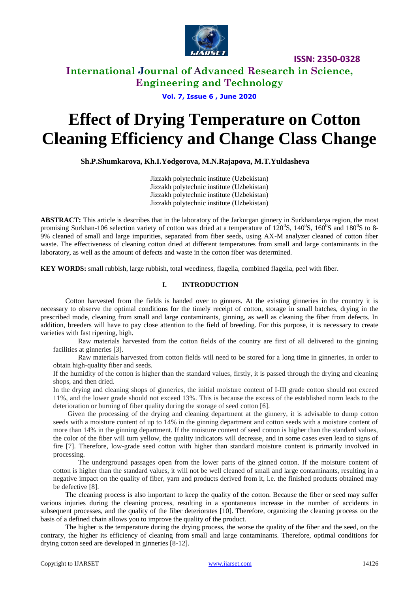

### **International Journal of Advanced Research in Science, Engineering and Technology**

**Vol. 7, Issue 6 , June 2020**

# **Effect of Drying Temperature on Cotton Cleaning Efficiency and Change Class Change**

 **Sh.P.Shumkarova, Kh.I.Yodgorova, M.N.Rajapova, M.T.Yuldasheva**

Jizzakh polytechnic institute (Uzbekistan) Jizzakh polytechnic institute (Uzbekistan) Jizzakh polytechnic institute (Uzbekistan) Jizzakh polytechnic institute (Uzbekistan)

**ABSTRACT:** This article is describes that in the laboratory of the Jarkurgan ginnery in Surkhandarya region, the most promising Surkhan-106 selection variety of cotton was dried at a temperature of  $120^{\circ}$ S,  $140^{\circ}$ S,  $160^{\circ}$ S and  $180^{\circ}$ S to 8-9% cleaned of small and large impurities, separated from fiber seeds, using AX-M analyzer cleaned of cotton fiber waste. The effectiveness of cleaning cotton dried at different temperatures from small and large contaminants in the laboratory, as well as the amount of defects and waste in the cotton fiber was determined.

**KEY WORDS:** small rubbish, large rubbish, total weediness, flagella, combined flagella, peel with fiber.

#### **I. INTRODUCTION**

Cotton harvested from the fields is handed over to ginners. At the existing ginneries in the country it is necessary to observe the optimal conditions for the timely receipt of cotton, storage in small batches, drying in the prescribed mode, cleaning from small and large contaminants, ginning, as well as cleaning the fiber from defects. In addition, breeders will have to pay close attention to the field of breeding. For this purpose, it is necessary to create varieties with fast ripening, high.

Raw materials harvested from the cotton fields of the country are first of all delivered to the ginning facilities at ginneries [3].

Raw materials harvested from cotton fields will need to be stored for a long time in ginneries, in order to obtain high-quality fiber and seeds.

If the humidity of the cotton is higher than the standard values, firstly, it is passed through the drying and cleaning shops, and then dried.

In the drying and cleaning shops of ginneries, the initial moisture content of I-III grade cotton should not exceed 11%, and the lower grade should not exceed 13%. This is because the excess of the established norm leads to the deterioration or burning of fiber quality during the storage of seed cotton [6].

Given the processing of the drying and cleaning department at the ginnery, it is advisable to dump cotton seeds with a moisture content of up to 14% in the ginning department and cotton seeds with a moisture content of more than 14% in the ginning department. If the moisture content of seed cotton is higher than the standard values, the color of the fiber will turn yellow, the quality indicators will decrease, and in some cases even lead to signs of fire [7]. Therefore, low-grade seed cotton with higher than standard moisture content is primarily involved in processing.

The underground passages open from the lower parts of the ginned cotton. If the moisture content of cotton is higher than the standard values, it will not be well cleaned of small and large contaminants, resulting in a negative impact on the quality of fiber, yarn and products derived from it, i.e. the finished products obtained may be defective [8].

The cleaning process is also important to keep the quality of the cotton. Because the fiber or seed may suffer various injuries during the cleaning process, resulting in a spontaneous increase in the number of accidents in subsequent processes, and the quality of the fiber deteriorates [10]. Therefore, organizing the cleaning process on the basis of a defined chain allows you to improve the quality of the product.

The higher is the temperature during the drying process, the worse the quality of the fiber and the seed, on the contrary, the higher its efficiency of cleaning from small and large contaminants. Therefore, optimal conditions for drying cotton seed are developed in ginneries [8-12].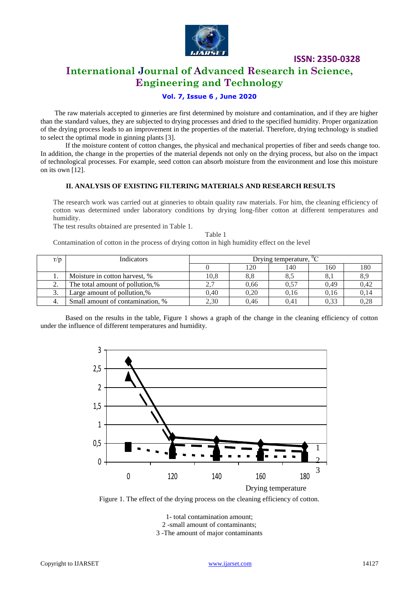

# **International Journal of Advanced Research in Science, Engineering and Technology**

#### **Vol. 7, Issue 6 , June 2020**

 The raw materials accepted to ginneries are first determined by moisture and contamination, and if they are higher than the standard values, they are subjected to drying processes and dried to the specified humidity. Proper organization of the drying process leads to an improvement in the properties of the material. Therefore, drying technology is studied to select the optimal mode in ginning plants [3].

If the moisture content of cotton changes, the physical and mechanical properties of fiber and seeds change too. In addition, the change in the properties of the material depends not only on the drying process, but also on the impact of technological processes. For example, seed cotton can absorb moisture from the environment and lose this moisture on its own [12].

#### **II. ANALYSIS OF EXISTING FILTERING MATERIALS AND RESEARCH RESULTS**

The research work was carried out at ginneries to obtain quality raw materials. For him, the cleaning efficiency of cotton was determined under laboratory conditions by drying long-fiber cotton at different temperatures and humidity.

Table 1

The test results obtained are presented in Table 1.

Contamination of cotton in the process of drying cotton in high humidity effect on the level

| T/D | <b>Indicators</b>                | Drying temperature, ${}^{0}C$ |      |      |      |      |  |
|-----|----------------------------------|-------------------------------|------|------|------|------|--|
|     |                                  |                               | 120  | 140  | 160  | 180  |  |
| . . | Moisture in cotton harvest, %    | 10,8                          | 8.8  | 8.5  |      |      |  |
| ٠.  | The total amount of pollution,%  |                               | 0.66 | 0,57 | 0.49 | 0.42 |  |
| . ب | Large amount of pollution,%      | 0.40                          | 0.20 | 0.16 | 0.16 | 0,14 |  |
| 4.  | Small amount of contamination, % | 2,30                          | 0.46 | 0.41 | 0,33 |      |  |

Based on the results in the table, Figure 1 shows a graph of the change in the cleaning efficiency of cotton under the influence of different temperatures and humidity.



Figure 1. The effect of the drying process on the cleaning efficiency of cotton.

1- total contamination amount; 2 -small amount of contaminants; 3 -The amount of major contaminants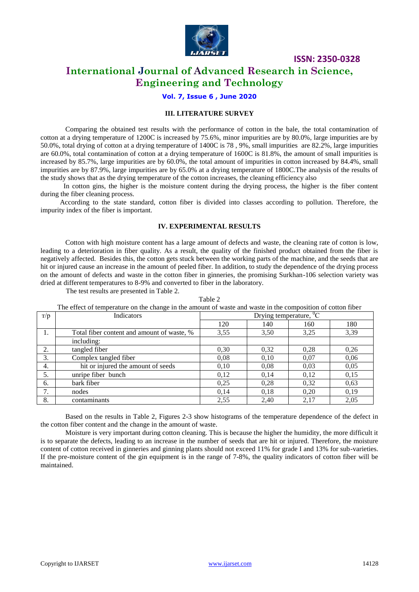

### **International Journal of Advanced Research in Science, Engineering and Technology**

#### **Vol. 7, Issue 6 , June 2020**

#### **III. LITERATURE SURVEY**

Comparing the obtained test results with the performance of cotton in the bale, the total contamination of cotton at a drying temperature of 1200C is increased by 75.6%, minor impurities are by 80.0%, large impurities are by 50.0%, total drying of cotton at a drying temperature of 1400C is 78 , 9%, small impurities are 82.2%, large impurities are 60.0%, total contamination of cotton at a drying temperature of 1600C is 81.8%, the amount of small impurities is increased by 85.7%, large impurities are by 60.0%, the total amount of impurities in cotton increased by 84.4%, small impurities are by 87.9%, large impurities are by 65.0% at a drying temperature of 1800C.The analysis of the results of the study shows that as the drying temperature of the cotton increases, the cleaning efficiency also

 In cotton gins, the higher is the moisture content during the drying process, the higher is the fiber content during the fiber cleaning process.

 According to the state standard, cotton fiber is divided into classes according to pollution. Therefore, the impurity index of the fiber is important.

#### **IV. EXPERIMENTAL RESULTS**

Cotton with high moisture content has a large amount of defects and waste, the cleaning rate of cotton is low, leading to a deterioration in fiber quality. As a result, the quality of the finished product obtained from the fiber is negatively affected. Besides this, the cotton gets stuck between the working parts of the machine, and the seeds that are hit or injured cause an increase in the amount of peeled fiber. In addition, to study the dependence of the drying process on the amount of defects and waste in the cotton fiber in ginneries, the promising Surkhan-106 selection variety was dried at different temperatures to 8-9% and converted to fiber in the laboratory.

The test results are presented in Table 2.

Table 2 The effect of temperature on the change in the amount of waste and waste in the composition of cotton fiber

| T/p | Indicators                                 | Drying temperature, ${}^{0}C$ |      |      |      |  |  |
|-----|--------------------------------------------|-------------------------------|------|------|------|--|--|
|     |                                            | 120                           | 140  | 160  | 180  |  |  |
| 1.  | Total fiber content and amount of waste, % | 3,55                          | 3,50 | 3,25 | 3,39 |  |  |
|     | including:                                 |                               |      |      |      |  |  |
| 2.  | tangled fiber                              | 0,30                          | 0,32 | 0.28 | 0,26 |  |  |
| 3.  | Complex tangled fiber                      | 0,08                          | 0.10 | 0,07 | 0,06 |  |  |
| 4.  | hit or injured the amount of seeds         | 0.10                          | 0.08 | 0,03 | 0,05 |  |  |
| 5.  | unripe fiber bunch                         | 0,12                          | 0.14 | 0.12 | 0,15 |  |  |
| 6.  | bark fiber                                 | 0,25                          | 0,28 | 0,32 | 0,63 |  |  |
| 7.  | nodes                                      | 0.14                          | 0,18 | 0,20 | 0,19 |  |  |
| 8.  | contaminants                               | 2,55                          | 2.40 | 2,17 | 2,05 |  |  |

Based on the results in Table 2, Figures 2-3 show histograms of the temperature dependence of the defect in the cotton fiber content and the change in the amount of waste.

Moisture is very important during cotton cleaning. This is because the higher the humidity, the more difficult it is to separate the defects, leading to an increase in the number of seeds that are hit or injured. Therefore, the moisture content of cotton received in ginneries and ginning plants should not exceed 11% for grade I and 13% for sub-varieties. If the pre-moisture content of the gin equipment is in the range of 7-8%, the quality indicators of cotton fiber will be maintained.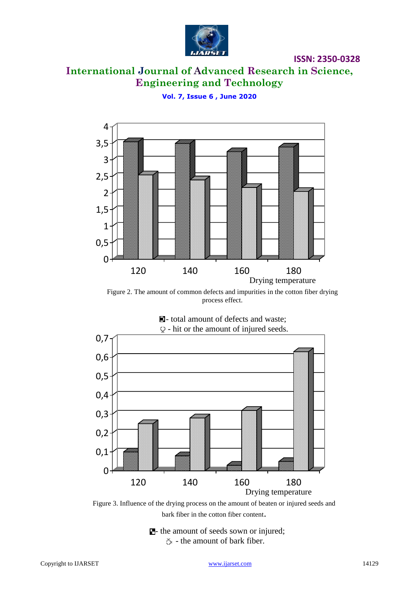

# **International Journal of Advanced Research in Science, Engineering and Technology**

**Vol. 7, Issue 6 , June 2020**



Figure 2. The amount of common defects and impurities in the cotton fiber drying process effect.



Figure 3. Influence of the drying process on the amount of beaten or injured seeds and bark fiber in the cotton fiber content.

 $\blacksquare$ - the amount of seeds sown or injured;  $\circlearrowright$  - the amount of bark fiber.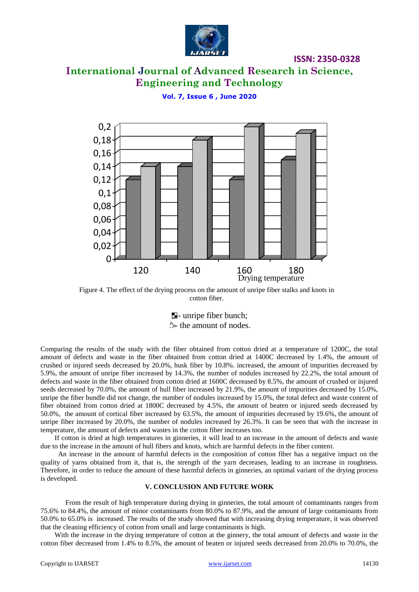

# **International Journal of Advanced Research in Science, Engineering and Technology**

**ISSN: 2350-0328**

#### **Vol. 7, Issue 6 , June 2020**



Figure 4. The effect of the drying process on the amount of unripe fiber stalks and knots in cotton fiber.

**E**-unripe fiber bunch;  $\frac{N}{2}$  the amount of nodes.

Comparing the results of the study with the fiber obtained from cotton dried at a temperature of 1200C, the total amount of defects and waste in the fiber obtained from cotton dried at 1400C decreased by 1.4%, the amount of crushed or injured seeds decreased by 20.0%, husk fiber by 10.8%. increased, the amount of impurities decreased by 5.9%, the amount of unripe fiber increased by 14.3%, the number of nodules increased by 22.2%, the total amount of defects and waste in the fiber obtained from cotton dried at 1600C decreased by 8.5%, the amount of crushed or injured seeds decreased by 70.0%, the amount of hull fiber increased by 21.9%, the amount of impurities decreased by 15.0%, unripe the fiber bundle did not change, the number of nodules increased by 15.0%, the total defect and waste content of fiber obtained from cotton dried at 1800C decreased by 4.5%, the amount of beaten or injured seeds decreased by 50.0%, the amount of cortical fiber increased by 63.5%, the amount of impurities decreased by 19.6%, the amount of unripe fiber increased by 20.0%, the number of nodules increased by 26.3%. It can be seen that with the increase in temperature, the amount of defects and wastes in the cotton fiber increases too.

 If cotton is dried at high temperatures in ginneries, it will lead to an increase in the amount of defects and waste due to the increase in the amount of hull fibers and knots, which are harmful defects in the fiber content.

 An increase in the amount of harmful defects in the composition of cotton fiber has a negative impact on the quality of yarns obtained from it, that is, the strength of the yarn decreases, leading to an increase in roughness. Therefore, in order to reduce the amount of these harmful defects in ginneries, an optimal variant of the drying process is developed.

#### **V. CONCLUSION AND FUTURE WORK**

From the result of high temperature during drying in ginneries, the total amount of contaminants ranges from 75.6% to 84.4%, the amount of minor contaminants from 80.0% to 87.9%, and the amount of large contaminants from 50.0% to 65.0% is increased. The results of the study showed that with increasing drying temperature, it was observed that the cleaning efficiency of cotton from small and large contaminants is high.

 With the increase in the drying temperature of cotton at the ginnery, the total amount of defects and waste in the cotton fiber decreased from 1.4% to 8.5%, the amount of beaten or injured seeds decreased from 20.0% to 70.0%, the